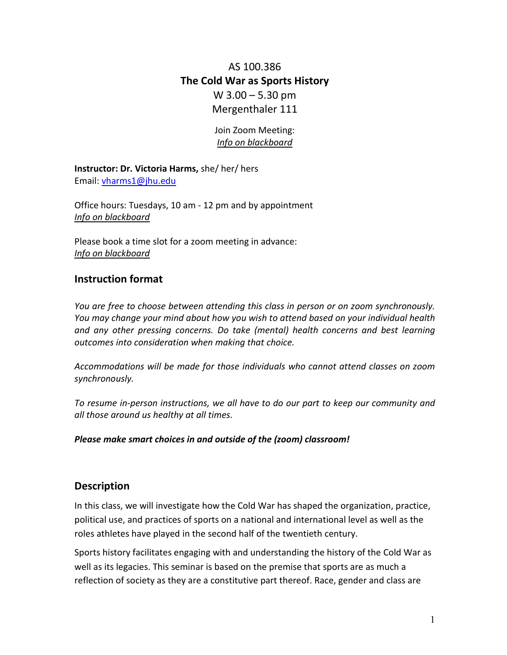# AS 100.386 **The Cold War as Sports History** W 3.00 – 5.30 pm Mergenthaler 111

# Join Zoom Meeting: *Info on blackboard*

**Instructor: Dr. Victoria Harms,** she/ her/ hers Email: [vharms1@jhu.edu](mailto:vharms1@jhu.edu)

Office hours: Tuesdays, 10 am - 12 pm and by appointment *Info on blackboard*

Please book a time slot for a zoom meeting in advance: *Info on blackboard*

# **Instruction format**

*You are free to choose between attending this class in person or on zoom synchronously. You may change your mind about how you wish to attend based on your individual health and any other pressing concerns. Do take (mental) health concerns and best learning outcomes into consideration when making that choice.* 

*Accommodations will be made for those individuals who cannot attend classes on zoom synchronously.* 

*To resume in-person instructions, we all have to do our part to keep our community and all those around us healthy at all times.* 

# *Please make smart choices in and outside of the (zoom) classroom!*

# **Description**

In this class, we will investigate how the Cold War has shaped the organization, practice, political use, and practices of sports on a national and international level as well as the roles athletes have played in the second half of the twentieth century.

Sports history facilitates engaging with and understanding the history of the Cold War as well as its legacies. This seminar is based on the premise that sports are as much a reflection of society as they are a constitutive part thereof. Race, gender and class are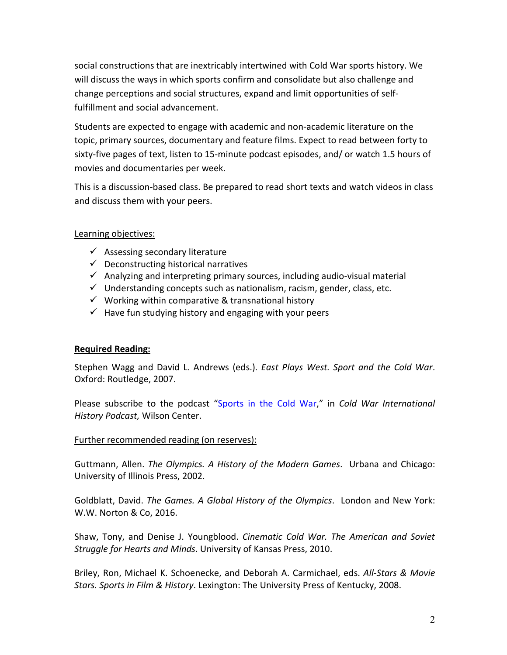social constructions that are inextricably intertwined with Cold War sports history. We will discuss the ways in which sports confirm and consolidate but also challenge and change perceptions and social structures, expand and limit opportunities of selffulfillment and social advancement.

Students are expected to engage with academic and non-academic literature on the topic, primary sources, documentary and feature films. Expect to read between forty to sixty-five pages of text, listen to 15-minute podcast episodes, and/ or watch 1.5 hours of movies and documentaries per week.

This is a discussion-based class. Be prepared to read short texts and watch videos in class and discuss them with your peers.

# Learning objectives:

- $\checkmark$  Assessing secondary literature
- $\checkmark$  Deconstructing historical narratives
- $\checkmark$  Analyzing and interpreting primary sources, including audio-visual material
- $\checkmark$  Understanding concepts such as nationalism, racism, gender, class, etc.
- $\checkmark$  Working within comparative & transnational history
- $\checkmark$  Have fun studying history and engaging with your peers

# **Required Reading:**

Stephen Wagg and David L. Andrews (eds.). *East Plays West. Sport and the Cold War*. Oxford: Routledge, 2007.

Please subscribe to the podcast ["Sports in the Cold War,](https://podcasts.apple.com/gb/podcast/sport-in-the-cold-war/id1046529695?mt=2)" in *Cold War International History Podcast,* Wilson Center.

# Further recommended reading (on reserves):

Guttmann, Allen. *The Olympics. A History of the Modern Games*. Urbana and Chicago: University of Illinois Press, 2002.

Goldblatt, David. *The Games. A Global History of the Olympics*. London and New York: W.W. Norton & Co, 2016.

Shaw, Tony, and Denise J. Youngblood. *Cinematic Cold War. The American and Soviet Struggle for Hearts and Minds*. University of Kansas Press, 2010.

Briley, Ron, Michael K. Schoenecke, and Deborah A. Carmichael, eds. *All-Stars & Movie Stars. Sports in Film & History*. Lexington: The University Press of Kentucky, 2008.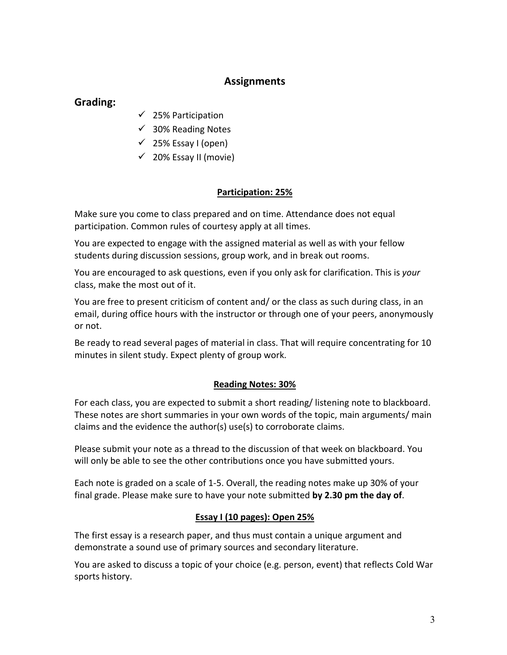# **Assignments**

# **Grading:**

- $\checkmark$  25% Participation
- $\checkmark$  30% Reading Notes
- $\checkmark$  25% Essay I (open)
- $\checkmark$  20% Essay II (movie)

#### **Participation: 25%**

Make sure you come to class prepared and on time. Attendance does not equal participation. Common rules of courtesy apply at all times.

You are expected to engage with the assigned material as well as with your fellow students during discussion sessions, group work, and in break out rooms.

You are encouraged to ask questions, even if you only ask for clarification. This is *your* class, make the most out of it.

You are free to present criticism of content and/ or the class as such during class, in an email, during office hours with the instructor or through one of your peers, anonymously or not.

Be ready to read several pages of material in class. That will require concentrating for 10 minutes in silent study. Expect plenty of group work.

# **Reading Notes: 30%**

For each class, you are expected to submit a short reading/ listening note to blackboard. These notes are short summaries in your own words of the topic, main arguments/ main claims and the evidence the author(s) use(s) to corroborate claims.

Please submit your note as a thread to the discussion of that week on blackboard. You will only be able to see the other contributions once you have submitted yours.

Each note is graded on a scale of 1-5. Overall, the reading notes make up 30% of your final grade. Please make sure to have your note submitted **by 2.30 pm the day of**.

# **Essay I (10 pages): Open 25%**

The first essay is a research paper, and thus must contain a unique argument and demonstrate a sound use of primary sources and secondary literature.

You are asked to discuss a topic of your choice (e.g. person, event) that reflects Cold War sports history.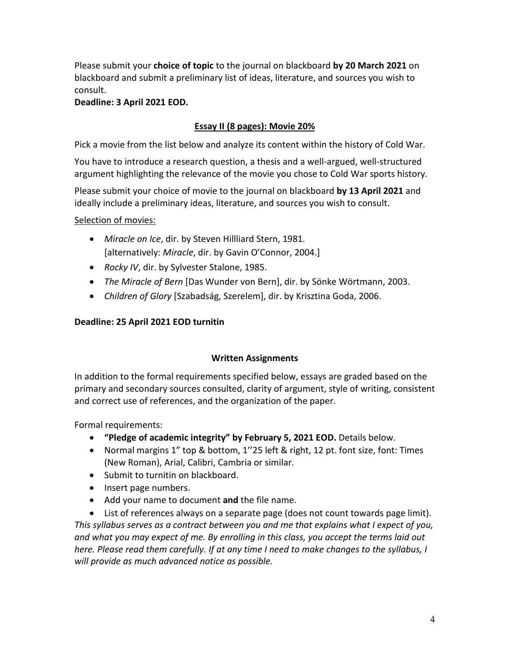Please submit your **choice of topic** to the journal on blackboard **by 20 March 2021** on blackboard and submit a preliminary list of ideas, literature, and sources you wish to consult.

# **Deadline: 3 April 2021 EOD.**

# **Essay II (8 pages): Movie 20%**

Pick a movie from the list below and analyze its content within the history of Cold War.

You have to introduce a research question, a thesis and a well-argued, well-structured argument highlighting the relevance of the movie you chose to Cold War sports history.

Please submit your choice of movie to the journal on blackboard **by 13 April 2021** and ideally include a preliminary ideas, literature, and sources you wish to consult.

Selection of movies:

- *Miracle on Ice*, dir. by Steven Hillliard Stern, 1981. [alternatively: *Miracle*, dir. by Gavin O'Connor, 2004.]
- *Rocky IV*, dir. by Sylvester Stalone, 1985.
- *The Miracle of Bern* [Das Wunder von Bern], dir. by Sönke Wörtmann, 2003.
- *Children of Glory* [Szabadság, Szerelem], dir. by Krisztina Goda, 2006.

# **Deadline: 25 April 2021 EOD turnitin**

# **Written Assignments**

In addition to the formal requirements specified below, essays are graded based on the primary and secondary sources consulted, clarity of argument, style of writing, consistent and correct use of references, and the organization of the paper.

Formal requirements:

- **"Pledge of academic integrity" by February 5, 2021 EOD.** Details below.
- Normal margins 1" top & bottom, 1''25 left & right, 12 pt. font size, font: Times (New Roman), Arial, Calibri, Cambria or similar.
- Submit to turnitin on blackboard.
- Insert page numbers.
- Add your name to document **and** the file name.
- List of references always on a separate page (does not count towards page limit).

*This syllabus serves as a contract between you and me that explains what I expect of you, and what you may expect of me. By enrolling in this class, you accept the terms laid out here. Please read them carefully. If at any time I need to make changes to the syllabus, I will provide as much advanced notice as possible.*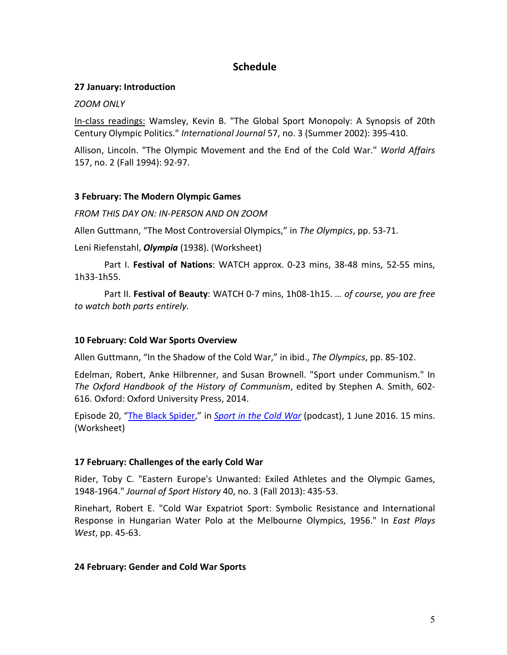# **Schedule**

#### **27 January: Introduction**

#### *ZOOM ONLY*

In-class readings: Wamsley, Kevin B. "The Global Sport Monopoly: A Synopsis of 20th Century Olympic Politics." *International Journal* 57, no. 3 (Summer 2002): 395-410.

Allison, Lincoln. "The Olympic Movement and the End of the Cold War." *World Affairs*  157, no. 2 (Fall 1994): 92-97.

#### **3 February: The Modern Olympic Games**

*FROM THIS DAY ON: IN-PERSON AND ON ZOOM*

Allen Guttmann, "The Most Controversial Olympics," in *The Olympics*, pp. 53-71.

Leni Riefenstahl, *Olympia* (1938). (Worksheet)

Part I. **Festival of Nations**: WATCH approx. 0-23 mins, 38-48 mins, 52-55 mins, 1h33-1h55.

Part II. **Festival of Beauty**: WATCH 0-7 mins, 1h08-1h15. *… of course, you are free to watch both parts entirely.*

# **10 February: Cold War Sports Overview**

Allen Guttmann, "In the Shadow of the Cold War," in ibid., *The Olympics*, pp. 85-102.

Edelman, Robert, Anke Hilbrenner, and Susan Brownell. "Sport under Communism." In *The Oxford Handbook of the History of Communism*, edited by Stephen A. Smith, 602- 616. Oxford: Oxford University Press, 2014.

Episode 20, ["The Black Spider,](https://soundcloud.com/coldwar-sport/mauricio-updated)" in *[Sport in the Cold War](https://digitalarchive.wilsoncenter.org/theme/sport-in-the-cold-war/resources)* (podcast), 1 June 2016. 15 mins. (Worksheet)

# **17 February: Challenges of the early Cold War**

Rider, Toby C. "Eastern Europe's Unwanted: Exiled Athletes and the Olympic Games, 1948-1964." *Journal of Sport History* 40, no. 3 (Fall 2013): 435-53.

Rinehart, Robert E. "Cold War Expatriot Sport: Symbolic Resistance and International Response in Hungarian Water Polo at the Melbourne Olympics, 1956." In *East Plays West*, pp. 45-63.

# **24 February: Gender and Cold War Sports**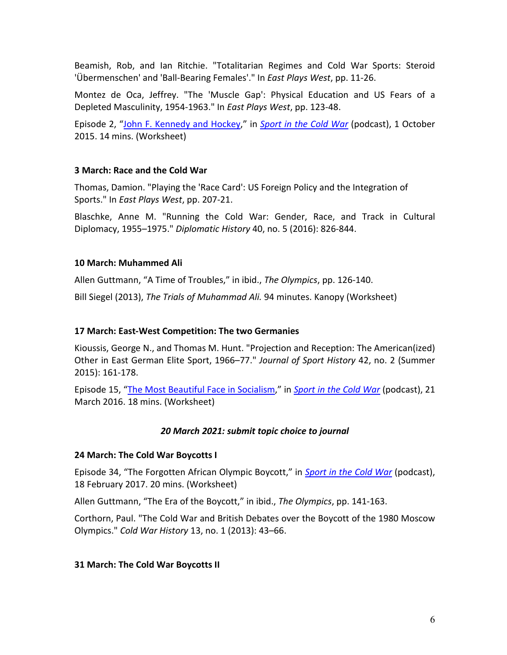Beamish, Rob, and Ian Ritchie. "Totalitarian Regimes and Cold War Sports: Steroid 'Übermenschen' and 'Ball-Bearing Females'." In *East Plays West*, pp. 11-26.

Montez de Oca, Jeffrey. "The 'Muscle Gap': Physical Education and US Fears of a Depleted Masculinity, 1954-1963." In *East Plays West*, pp. 123-48.

Episode 2, ["John F. Kennedy and Hockey,](https://podcasts.apple.com/gb/podcast/episode-2-john-f-kennedy-and-hockey/id1046529695?i=1000354066990)" in *[Sport in the Cold War](https://digitalarchive.wilsoncenter.org/theme/sport-in-the-cold-war/resources)* (podcast), 1 October 2015. 14 mins. (Worksheet)

#### **3 March: Race and the Cold War**

Thomas, Damion. "Playing the 'Race Card': US Foreign Policy and the Integration of Sports." In *East Plays West*, pp. 207-21.

Blaschke, Anne M. "Running the Cold War: Gender, Race, and Track in Cultural Diplomacy, 1955–1975." *Diplomatic History* 40, no. 5 (2016): 826-844.

#### **10 March: Muhammed Ali**

Allen Guttmann, "A Time of Troubles," in ibid., *The Olympics*, pp. 126-140.

Bill Siegel (2013), *The Trials of Muhammad Ali.* 94 minutes. Kanopy (Worksheet)

#### **17 March: East-West Competition: The two Germanies**

Kioussis, George N., and Thomas M. Hunt. "Projection and Reception: The American(ized) Other in East German Elite Sport, 1966–77." *Journal of Sport History* 42, no. 2 (Summer 2015): 161-178.

Episode 15, ["The Most Beautiful Face in Socialism,](https://podcasts.apple.com/gb/podcast/episode-15-the-most-beautiful-face-of-socialism/id1046529695?i=1000365224838)" in *[Sport in the Cold War](https://digitalarchive.wilsoncenter.org/theme/sport-in-the-cold-war/resources)* (podcast), 21 March 2016. 18 mins. (Worksheet)

#### *20 March 2021: submit topic choice to journal*

#### **24 March: The Cold War Boycotts I**

Episode 34, "The Forgotten African Olympic Boycott," in *[Sport in the Cold War](https://digitalarchive.wilsoncenter.org/theme/sport-in-the-cold-war/resources)* (podcast), 18 February 2017. 20 mins. (Worksheet)

Allen Guttmann, "The Era of the Boycott," in ibid., *The Olympics*, pp. 141-163.

Corthorn, Paul. "The Cold War and British Debates over the Boycott of the 1980 Moscow Olympics." *Cold War History* 13, no. 1 (2013): 43–66.

#### **31 March: The Cold War Boycotts II**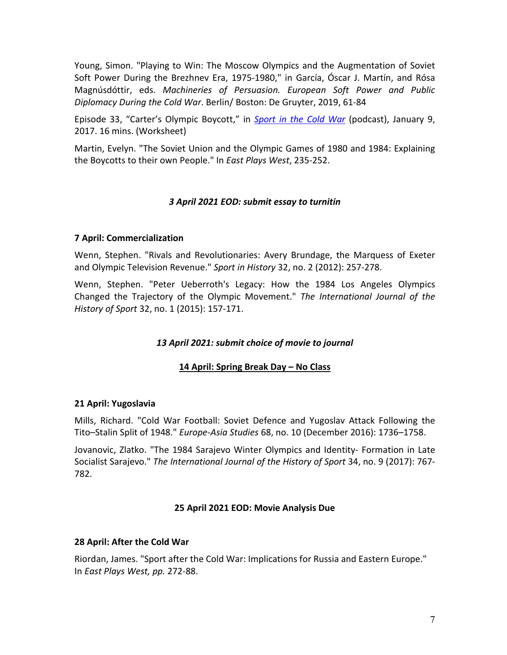Young, Simon. "Playing to Win: The Moscow Olympics and the Augmentation of Soviet Soft Power During the Brezhnev Era, 1975-1980," in García, Óscar J. Martín, and Rósa Magnúsdóttir, eds. *Machineries of Persuasion. European Soft Power and Public Diplomacy During the Cold War*. Berlin/ Boston: De Gruyter, 2019, 61-84

Episode 33, "Carter's Olympic Boycott," in *[Sport in the Cold War](https://digitalarchive.wilsoncenter.org/theme/sport-in-the-cold-war/resources)* (podcast), January 9, 2017. 16 mins. (Worksheet)

Martin, Evelyn. "The Soviet Union and the Olympic Games of 1980 and 1984: Explaining the Boycotts to their own People." In *East Plays West*, 235-252.

# *3 April 2021 EOD: submit essay to turnitin*

# **7 April: Commercialization**

Wenn, Stephen. "Rivals and Revolutionaries: Avery Brundage, the Marquess of Exeter and Olympic Television Revenue." *Sport in History* 32, no. 2 (2012): 257-278.

Wenn, Stephen. "Peter Ueberroth's Legacy: How the 1984 Los Angeles Olympics Changed the Trajectory of the Olympic Movement." *The International Journal of the History of Sport* 32, no. 1 (2015): 157-171.

# *13 April 2021: submit choice of movie to journal*

# **14 April: Spring Break Day – No Class**

#### **21 April: Yugoslavia**

Mills, Richard. "Cold War Football: Soviet Defence and Yugoslav Attack Following the Tito–Stalin Split of 1948." *Europe-Asia Studies* 68, no. 10 (December 2016): 1736–1758.

Jovanovic, Zlatko. "The 1984 Sarajevo Winter Olympics and Identity- Formation in Late Socialist Sarajevo." *The International Journal of the History of Sport* 34, no. 9 (2017): 767- 782.

#### **25 April 2021 EOD: Movie Analysis Due**

#### **28 April: After the Cold War**

Riordan, James. "Sport after the Cold War: Implications for Russia and Eastern Europe." In *East Plays West, pp.* 272-88.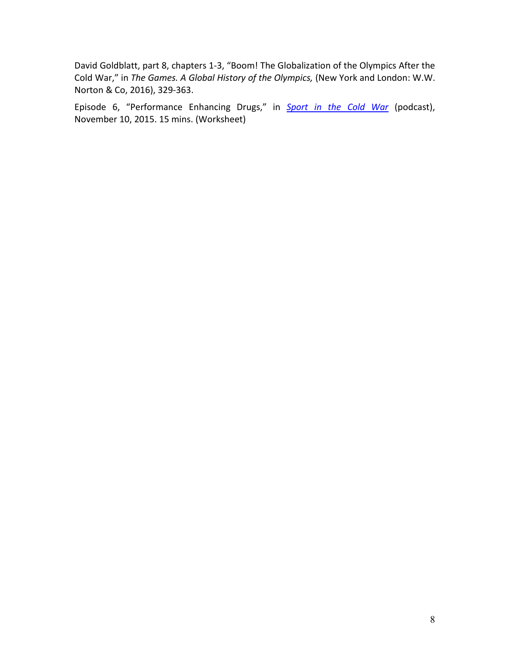David Goldblatt, part 8, chapters 1-3, "Boom! The Globalization of the Olympics After the Cold War," in *The Games. A Global History of the Olympics,* (New York and London: W.W. Norton & Co, 2016), 329-363.

Episode 6, "Performance Enhancing Drugs," in *[Sport in the Cold War](https://digitalarchive.wilsoncenter.org/theme/sport-in-the-cold-war/resources)* (podcast), November 10, 2015. 15 mins. (Worksheet)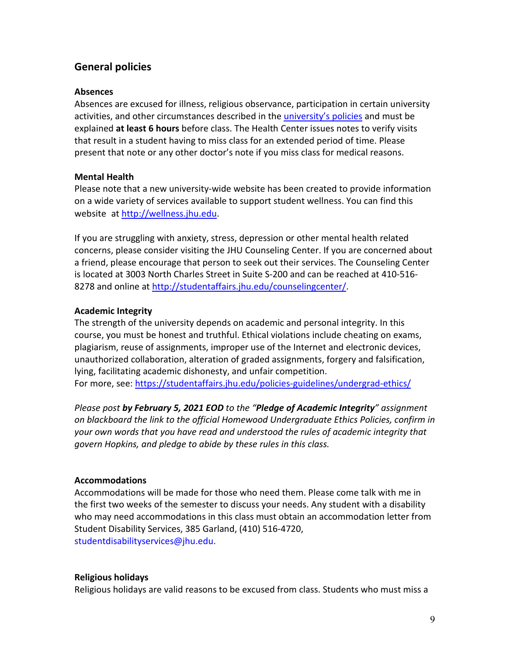# **General policies**

### **Absences**

Absences are excused for illness, religious observance, participation in certain university activities, and other circumstances described in th[e university's policies](https://studentaffairs.jhu.edu/student-life/student-outreach-support/absences-from-class/) and must be explained **at least 6 hours** before class. The Health Center issues notes to verify visits that result in a student having to miss class for an extended period of time. Please present that note or any other doctor's note if you miss class for medical reasons.

# **Mental Health**

Please note that a new university-wide website has been created to provide information on a wide variety of services available to support student wellness. You can find this website at [http://wellness.jhu.edu.](http://wellness.jhu.edu/)

If you are struggling with anxiety, stress, depression or other mental health related concerns, please consider visiting the JHU Counseling Center. If you are concerned about a friend, please encourage that person to seek out their services. The Counseling Center is located at 3003 North Charles Street in Suite S-200 and can be reached at 410-516- 8278 and online a[t http://studentaffairs.jhu.edu/counselingcenter/.](http://studentaffairs.jhu.edu/counselingcenter/)

# **Academic Integrity**

The strength of the university depends on academic and personal integrity. In this course, you must be honest and truthful. Ethical violations include cheating on exams, plagiarism, reuse of assignments, improper use of the Internet and electronic devices, unauthorized collaboration, alteration of graded assignments, forgery and falsification, lying, facilitating academic dishonesty, and unfair competition. For more, see: <https://studentaffairs.jhu.edu/policies-guidelines/undergrad-ethics/>

*Please post by February 5, 2021 EOD to the "Pledge of Academic Integrity" assignment on blackboard the link to the official Homewood Undergraduate Ethics Policies, confirm in your own words that you have read and understood the rules of academic integrity that govern Hopkins, and pledge to abide by these rules in this class.*

# **Accommodations**

Accommodations will be made for those who need them. Please come talk with me in the first two weeks of the semester to discuss your needs. Any student with a disability who may need accommodations in this class must obtain an accommodation letter from Student Disability Services, 385 Garland, (410) 516-4720, studentdisabilityservices@jhu.edu.

# **Religious holidays**

Religious holidays are valid reasons to be excused from class. Students who must miss a